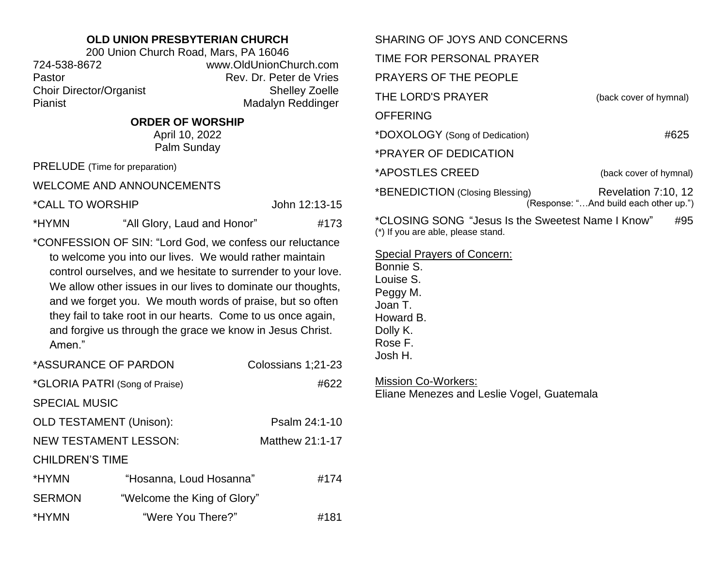## **OLD UNION PRESBYTERIAN CHURCH**

200 Union Church Road, Mars, PA 16046 724-538-8672 www.OldUnionChurch.com Pastor **Pastor** Rev. Dr. Peter de Vries Choir Director/Organist Shelley Zoelle Pianist Madalyn Reddinger

## **ORDER OF WORSHIP**

April 10, 2022 Palm Sunday

PRELUDE (Time for preparation)

WELCOME AND ANNOUNCEMENTS

\*CALL TO WORSHIP John 12:13-15

\*HYMN "All Glory, Laud and Honor" #173

\*CONFESSION OF SIN: "Lord God, we confess our reluctance to welcome you into our lives. We would rather maintain control ourselves, and we hesitate to surrender to your love. We allow other issues in our lives to dominate our thoughts, and we forget you. We mouth words of praise, but so often they fail to take root in our hearts. Come to us once again, and forgive us through the grace we know in Jesus Christ. Amen."

| *ASSURANCE OF PARDON           |                             |  | Colossians 1;21-23 |  |
|--------------------------------|-----------------------------|--|--------------------|--|
| *GLORIA PATRI (Song of Praise) |                             |  | #622               |  |
| <b>SPECIAL MUSIC</b>           |                             |  |                    |  |
| <b>OLD TESTAMENT (Unison):</b> |                             |  | Psalm 24:1-10      |  |
| <b>NEW TESTAMENT LESSON:</b>   |                             |  | Matthew 21:1-17    |  |
| <b>CHILDREN'S TIME</b>         |                             |  |                    |  |
| *HYMN                          | "Hosanna, Loud Hosanna"     |  | #174               |  |
| <b>SERMON</b>                  | "Welcome the King of Glory" |  |                    |  |
| *HYMN                          | "Were You There?"           |  | #181               |  |

| SHARING OF JOYS AND CONCERNS                             |                                                               |  |  |
|----------------------------------------------------------|---------------------------------------------------------------|--|--|
| TIME FOR PERSONAL PRAYER                                 |                                                               |  |  |
| <b>PRAYERS OF THE PEOPLE</b>                             |                                                               |  |  |
| THE LORD'S PRAYER                                        | (back cover of hymnal)                                        |  |  |
| <b>OFFERING</b>                                          |                                                               |  |  |
| *DOXOLOGY (Song of Dedication)                           | #625                                                          |  |  |
| *PRAYER OF DEDICATION                                    |                                                               |  |  |
| *APOSTLES CREED                                          | (back cover of hymnal)                                        |  |  |
| *BENEDICTION (Closing Blessing)                          | Revelation 7:10, 12<br>(Response: "And build each other up.") |  |  |
| *CLOSING SONG "Jesus Is the Sweetest Name I Know"<br>#95 |                                                               |  |  |

(\*) If you are able, please stand.

Special Prayers of Concern:

Bonnie S. Louise S. Peggy M. Joan T. Howard B. Dolly K. Rose F. Josh H.

Mission Co-Workers:

Eliane Menezes and Leslie Vogel, Guatemala